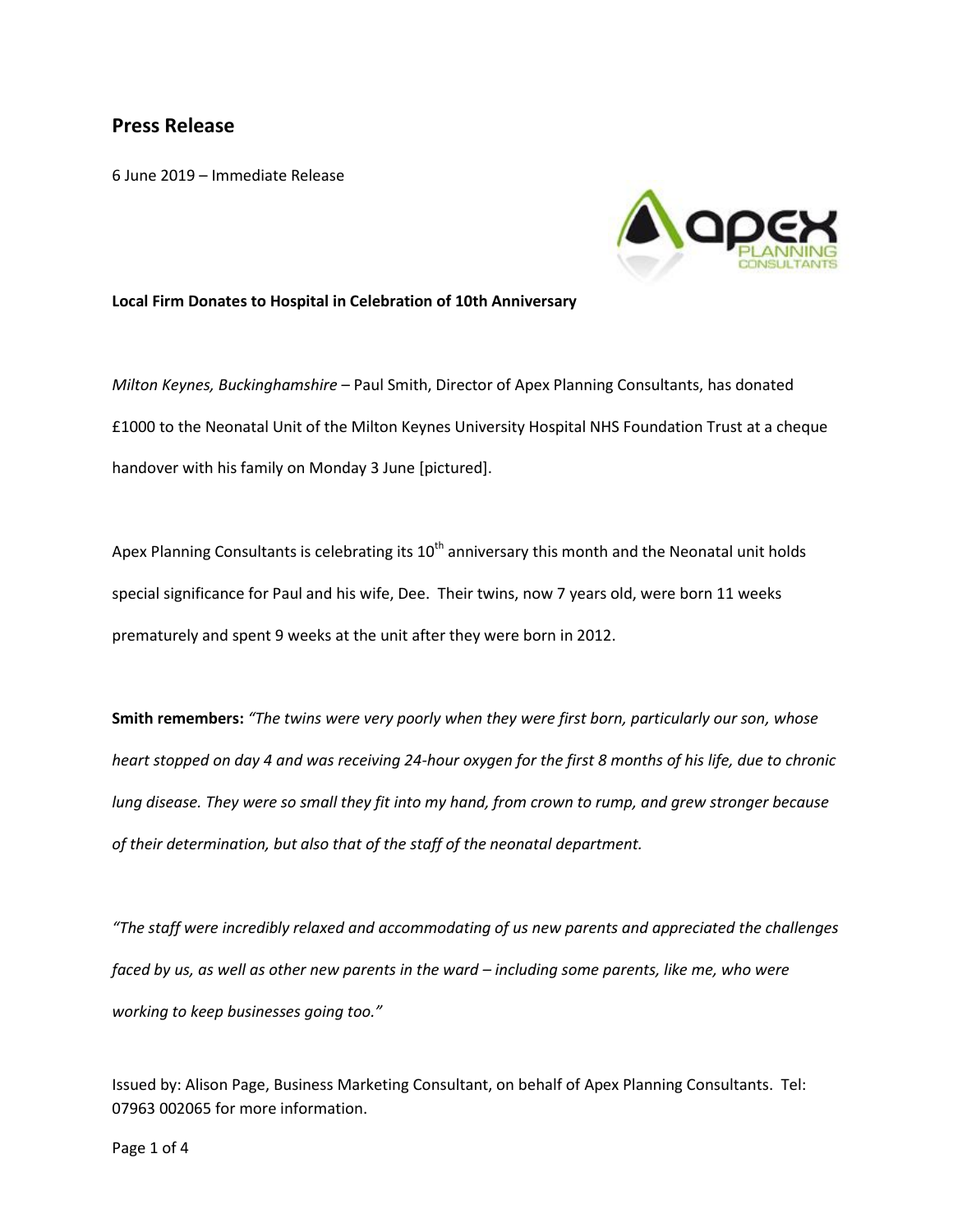## **Press Release**

6 June 2019 – Immediate Release



## **Local Firm Donates to Hospital in Celebration of 10th Anniversary**

*Milton Keynes, Buckinghamshire* – Paul Smith, Director of Apex Planning Consultants, has donated £1000 to the Neonatal Unit of the Milton Keynes University Hospital NHS Foundation Trust at a cheque handover with his family on Monday 3 June [pictured].

Apex Planning Consultants is celebrating its  $10<sup>th</sup>$  anniversary this month and the Neonatal unit holds special significance for Paul and his wife, Dee. Their twins, now 7 years old, were born 11 weeks prematurely and spent 9 weeks at the unit after they were born in 2012.

**Smith remembers:** *"The twins were very poorly when they were first born, particularly our son, whose heart stopped on day 4 and was receiving 24-hour oxygen for the first 8 months of his life, due to chronic lung disease. They were so small they fit into my hand, from crown to rump, and grew stronger because of their determination, but also that of the staff of the neonatal department.*

*"The staff were incredibly relaxed and accommodating of us new parents and appreciated the challenges faced by us, as well as other new parents in the ward – including some parents, like me, who were working to keep businesses going too."*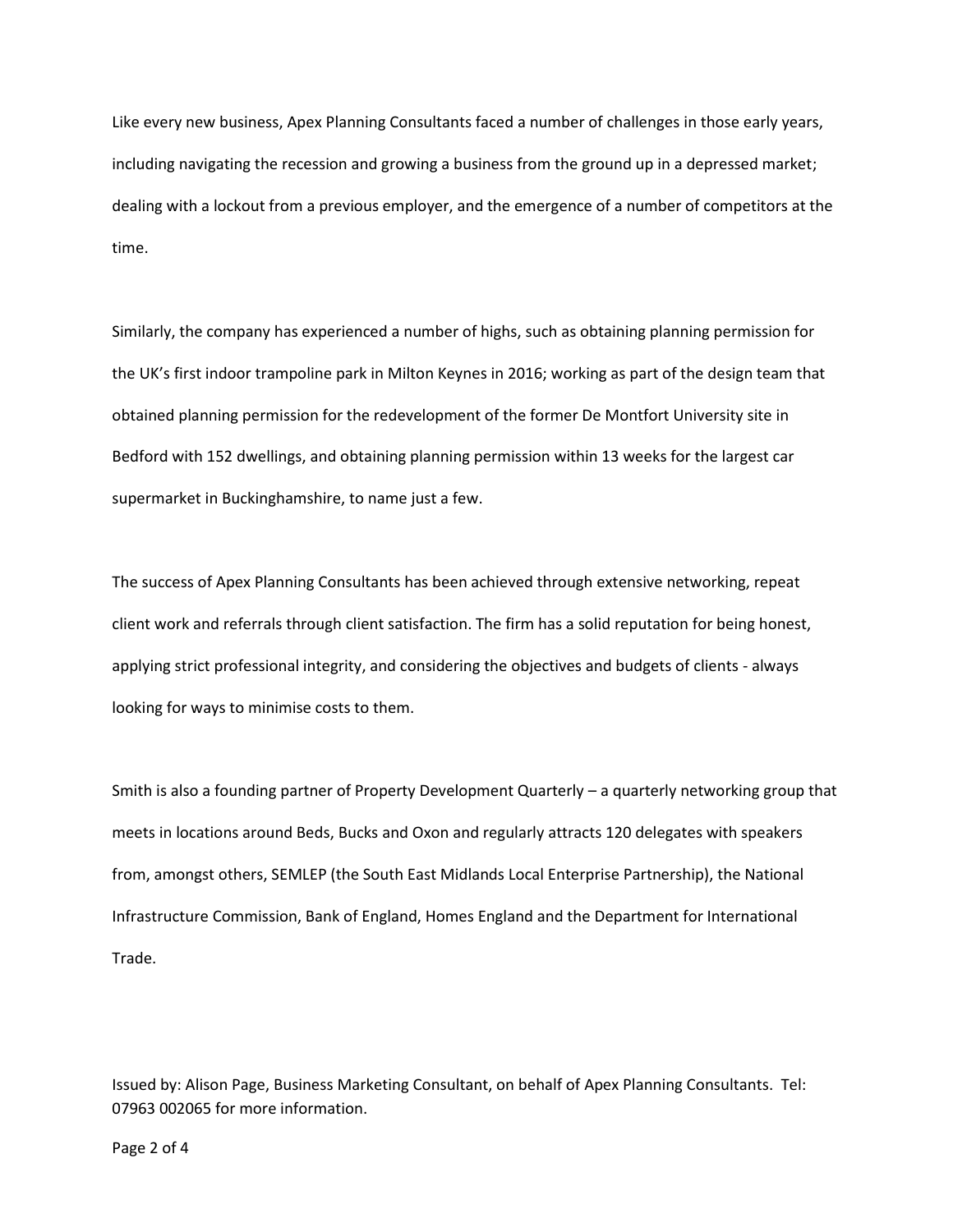Like every new business, Apex Planning Consultants faced a number of challenges in those early years, including navigating the recession and growing a business from the ground up in a depressed market; dealing with a lockout from a previous employer, and the emergence of a number of competitors at the time.

Similarly, the company has experienced a number of highs, such as obtaining planning permission for the UK's first indoor trampoline park in Milton Keynes in 2016; working as part of the design team that obtained planning permission for the redevelopment of the former De Montfort University site in Bedford with 152 dwellings, and obtaining planning permission within 13 weeks for the largest car supermarket in Buckinghamshire, to name just a few.

The success of Apex Planning Consultants has been achieved through extensive networking, repeat client work and referrals through client satisfaction. The firm has a solid reputation for being honest, applying strict professional integrity, and considering the objectives and budgets of clients - always looking for ways to minimise costs to them.

Smith is also a founding partner of Property Development Quarterly – a quarterly networking group that meets in locations around Beds, Bucks and Oxon and regularly attracts 120 delegates with speakers from, amongst others, SEMLEP (the South East Midlands Local Enterprise Partnership), the National Infrastructure Commission, Bank of England, Homes England and the Department for International Trade.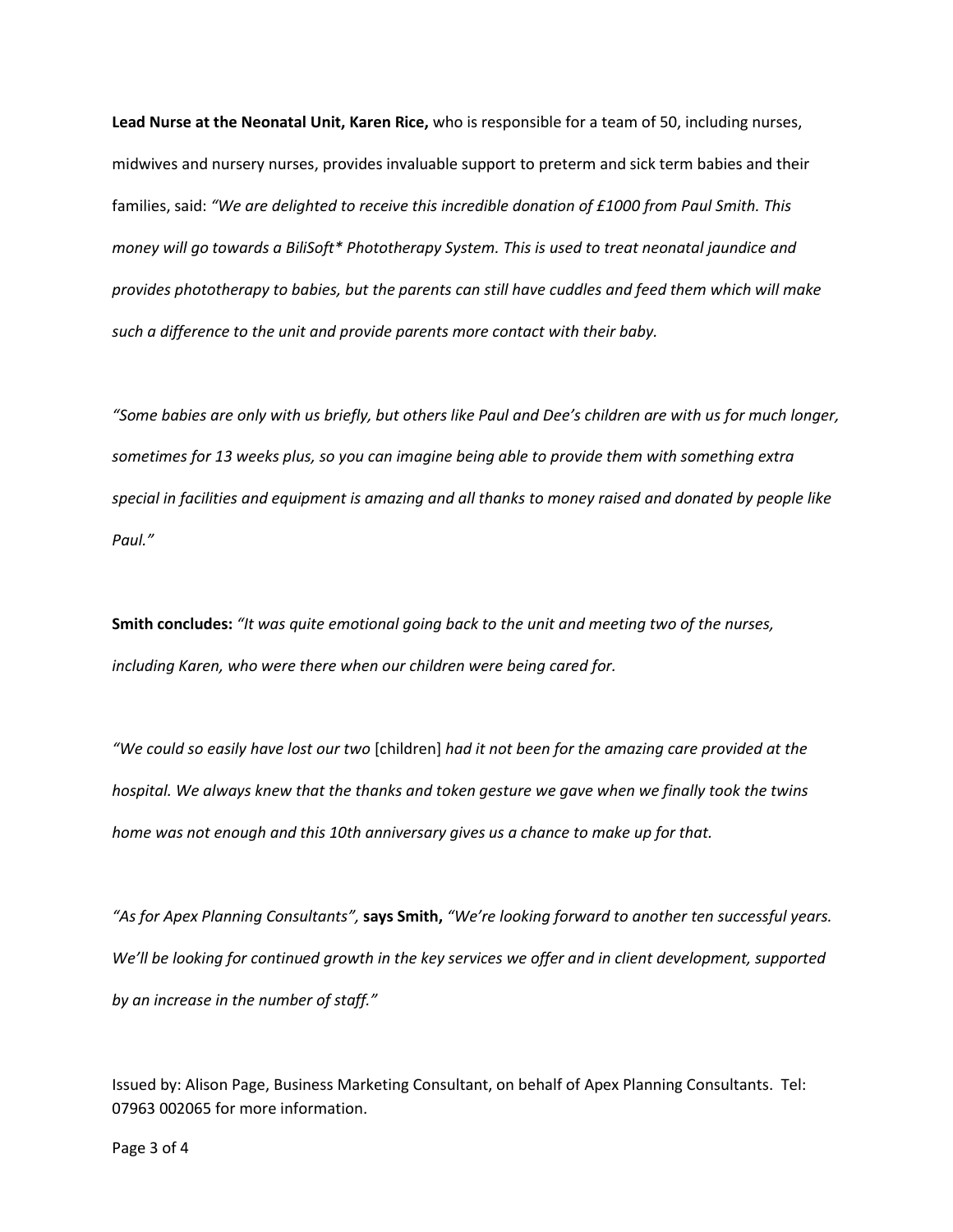**Lead Nurse at the Neonatal Unit, Karen Rice,** who is responsible for a team of 50, including nurses, midwives and nursery nurses, provides invaluable support to preterm and sick term babies and their families, said: *"We are delighted to receive this incredible donation of £1000 from Paul Smith. This money will go towards a BiliSoft\* Phototherapy System. This is used to treat neonatal jaundice and provides phototherapy to babies, but the parents can still have cuddles and feed them which will make such a difference to the unit and provide parents more contact with their baby.*

*"Some babies are only with us briefly, but others like Paul and Dee's children are with us for much longer, sometimes for 13 weeks plus, so you can imagine being able to provide them with something extra special in facilities and equipment is amazing and all thanks to money raised and donated by people like Paul."*

**Smith concludes:** *"It was quite emotional going back to the unit and meeting two of the nurses, including Karen, who were there when our children were being cared for.*

*"We could so easily have lost our two* [children] *had it not been for the amazing care provided at the hospital. We always knew that the thanks and token gesture we gave when we finally took the twins home was not enough and this 10th anniversary gives us a chance to make up for that.* 

*"As for Apex Planning Consultants",* **says Smith,** *"We're looking forward to another ten successful years. We'll be looking for continued growth in the key services we offer and in client development, supported by an increase in the number of staff."*